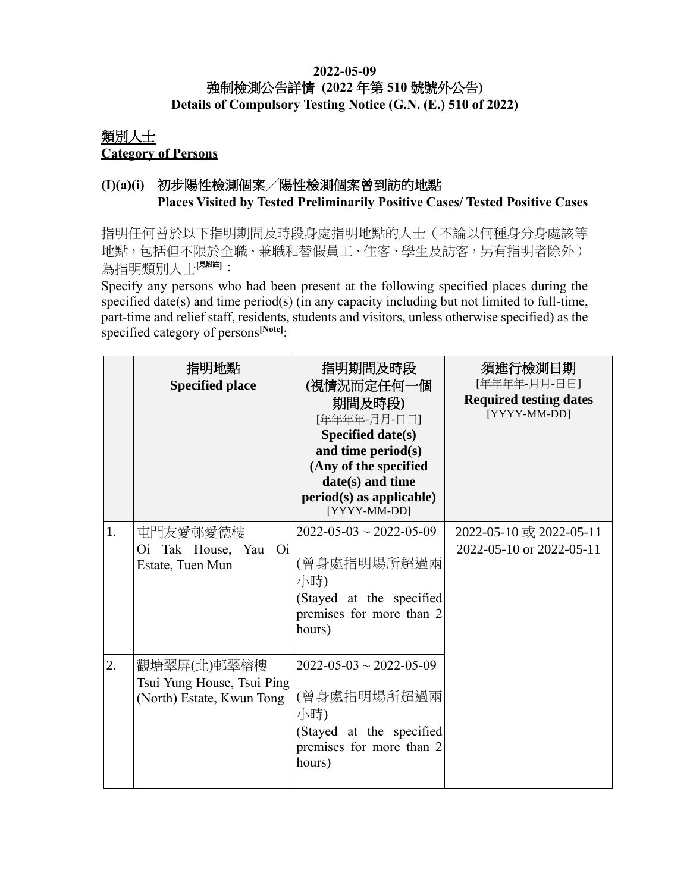### **2022-05-09** 強制檢測公告詳情 **(2022** 年第 **510** 號號外公告**) Details of Compulsory Testing Notice (G.N. (E.) 510 of 2022)**

### 類別人士 **Category of Persons**

## **(I)(a)(i)** 初步陽性檢測個案╱陽性檢測個案曾到訪的地點 **Places Visited by Tested Preliminarily Positive Cases/ Tested Positive Cases**

指明任何曾於以下指明期間及時段身處指明地點的人士(不論以何種身分身處該等 地點,包括但不限於全職、兼職和替假員工、住客、學生及訪客,另有指明者除外) 為指明類別人士[<sup>見附註]</sup>:

Specify any persons who had been present at the following specified places during the specified date(s) and time period(s) (in any capacity including but not limited to full-time, part-time and relief staff, residents, students and visitors, unless otherwise specified) as the specified category of persons**[Note]**:

|    | 指明地點<br><b>Specified place</b>                                         | 指明期間及時段<br>(視情況而定任何一個<br>期間及時段)<br>[年年年年-月月-日日]<br>Specified date(s)<br>and time period(s)<br>(Any of the specified<br>date(s) and time<br>$period(s)$ as applicable)<br>[YYYY-MM-DD] | 須進行檢測日期<br>[年年年年-月月-日日]<br><b>Required testing dates</b><br>[YYYY-MM-DD] |
|----|------------------------------------------------------------------------|---------------------------------------------------------------------------------------------------------------------------------------------------------------------------------------|--------------------------------------------------------------------------|
| 1. | 屯門友愛邨愛德樓<br>Oi Tak House, Yau Oi<br>Estate, Tuen Mun                   | $2022 - 05 - 03 \sim 2022 - 05 - 09$<br>(曾身處指明場所超過兩<br>小時)<br>(Stayed at the specified<br>premises for more than 2<br>hours)                                                          | 2022-05-10 或 2022-05-11<br>2022-05-10 or 2022-05-11                      |
| 2. | 觀塘翠屏(北)邨翠榕樓<br>Tsui Yung House, Tsui Ping<br>(North) Estate, Kwun Tong | $2022 - 05 - 03 \sim 2022 - 05 - 09$<br>(曾身處指明場所超過兩<br>小時)<br>(Stayed at the specified<br>premises for more than 2<br>hours)                                                          |                                                                          |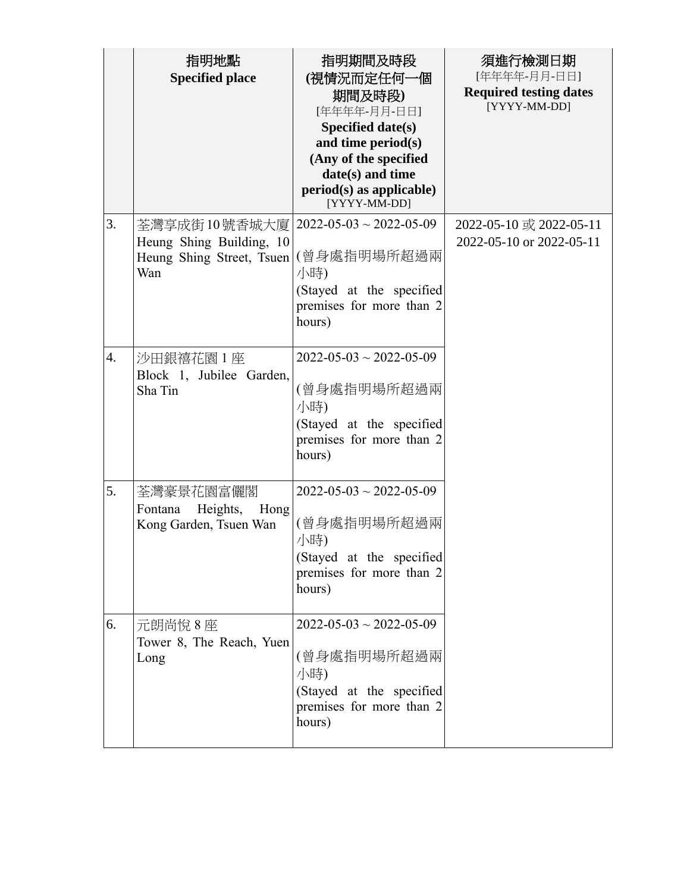|                  | 指明地點<br><b>Specified place</b>                                                | 指明期間及時段<br>(視情況而定任何一個<br>期間及時段)<br>[年年年年-月月-日日]<br>Specified date(s)<br>and time period(s)<br>(Any of the specified<br>date(s) and time<br>$period(s)$ as applicable)<br>[YYYY-MM-DD] | 須進行檢測日期<br>[年年年年-月月-日日]<br><b>Required testing dates</b><br>[YYYY-MM-DD] |
|------------------|-------------------------------------------------------------------------------|---------------------------------------------------------------------------------------------------------------------------------------------------------------------------------------|--------------------------------------------------------------------------|
| 3.               | 荃灣享成街10號香城大廈 <br>Heung Shing Building, 10<br>Heung Shing Street, Tsuen<br>Wan | $2022 - 05 - 03 \sim 2022 - 05 - 09$<br>(曾身處指明場所超過兩<br>小時)<br>(Stayed at the specified<br>premises for more than 2<br>hours)                                                          | 2022-05-10 或 2022-05-11<br>2022-05-10 or 2022-05-11                      |
| $\overline{4}$ . | 沙田銀禧花園 1座<br>Block 1, Jubilee Garden,<br>Sha Tin                              | $2022 - 05 - 03 \sim 2022 - 05 - 09$<br>(曾身處指明場所超過兩<br>小時)<br>(Stayed at the specified<br>premises for more than 2<br>hours)                                                          |                                                                          |
| 5.               | 荃灣豪景花園富儷閣<br>Heights,<br>Hong<br>Fontana<br>Kong Garden, Tsuen Wan            | $2022 - 05 - 03 \sim 2022 - 05 - 09$<br>(曾身處指明場所超過兩<br>小時)<br>(Stayed at the specified<br>premises for more than 2<br>hours)                                                          |                                                                          |
| 6.               | 元朗尚悅8座<br>Tower 8, The Reach, Yuen<br>Long                                    | $2022 - 05 - 03 \sim 2022 - 05 - 09$<br>(曾身處指明場所超過兩<br>小時)<br>(Stayed at the specified<br>premises for more than 2<br>hours)                                                          |                                                                          |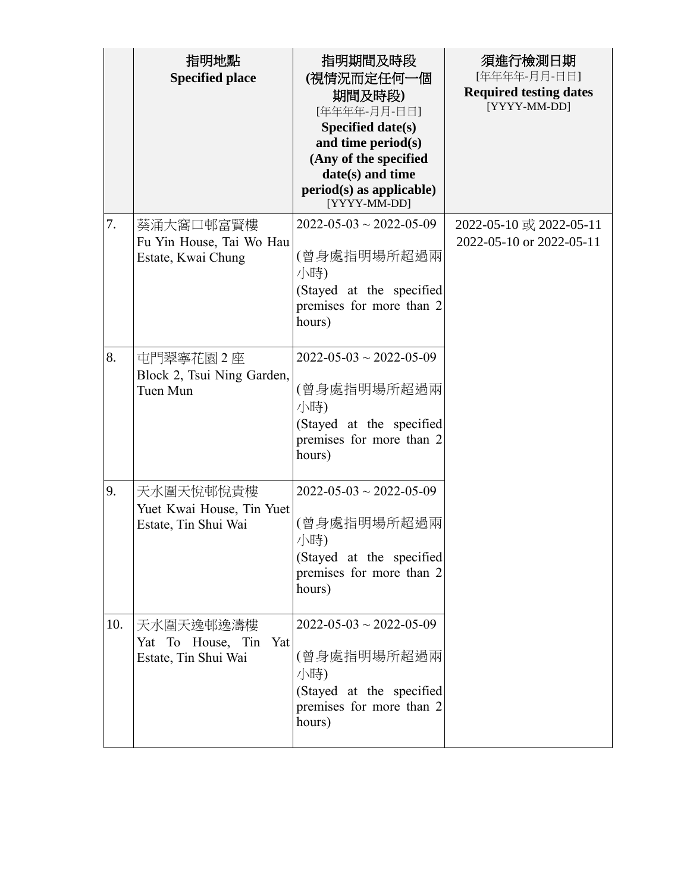|     | 指明地點<br><b>Specified place</b>                                 | 指明期間及時段<br>(視情況而定任何一個<br>期間及時段)<br>[年年年年-月月-日日]<br>Specified date(s)<br>and time period(s)<br>(Any of the specified<br>date(s) and time<br>$period(s)$ as applicable)<br>[YYYY-MM-DD] | 須進行檢測日期<br>[年年年年-月月-日日]<br><b>Required testing dates</b><br>[YYYY-MM-DD] |
|-----|----------------------------------------------------------------|---------------------------------------------------------------------------------------------------------------------------------------------------------------------------------------|--------------------------------------------------------------------------|
| 7.  | 葵涌大窩口邨富賢樓<br>Fu Yin House, Tai Wo Hau<br>Estate, Kwai Chung    | $2022 - 05 - 03 \sim 2022 - 05 - 09$<br>(曾身處指明場所超過兩<br>小時)<br>(Stayed at the specified<br>premises for more than 2<br>hours)                                                          | 2022-05-10 或 2022-05-11<br>2022-05-10 or 2022-05-11                      |
| 8.  | 屯門翠寧花園 2座<br>Block 2, Tsui Ning Garden,<br>Tuen Mun            | $2022 - 05 - 03 \sim 2022 - 05 - 09$<br>(曾身處指明場所超過兩<br>小時)<br>(Stayed at the specified<br>premises for more than 2<br>hours)                                                          |                                                                          |
| 9.  | 天水圍天悅邨悅貴樓<br>Yuet Kwai House, Tin Yuet<br>Estate, Tin Shui Wai | $2022 - 05 - 03 \sim 2022 - 05 - 09$<br>(曾身處指明場所超過兩<br>小時)<br>(Stayed at the specified<br>premises for more than 2<br>hours)                                                          |                                                                          |
| 10. | 天水圍天逸邨逸濤樓<br>Yat To House, Tin Yat<br>Estate, Tin Shui Wai     | $2022 - 05 - 03 \sim 2022 - 05 - 09$<br>(曾身處指明場所超過兩<br>小時)<br>(Stayed at the specified<br>premises for more than 2<br>hours)                                                          |                                                                          |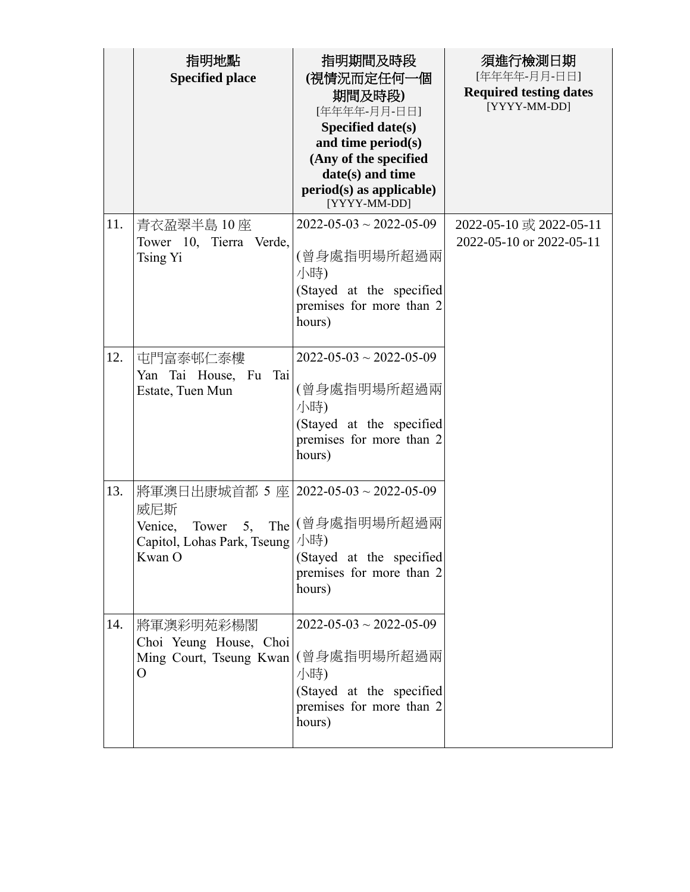|     | 指明地點<br><b>Specified place</b>                                                                                 | 指明期間及時段<br>(視情況而定任何一個<br>期間及時段)<br>[年年年年-月月-日日]<br>Specified date(s)<br>and time period(s)<br>(Any of the specified<br>date(s) and time<br>$period(s)$ as applicable)<br>[YYYY-MM-DD] | 須進行檢測日期<br>[年年年年-月月-日日]<br><b>Required testing dates</b><br>[YYYY-MM-DD] |
|-----|----------------------------------------------------------------------------------------------------------------|---------------------------------------------------------------------------------------------------------------------------------------------------------------------------------------|--------------------------------------------------------------------------|
| 11. | 青衣盈翠半島 10座<br>Tower 10, Tierra Verde,<br>Tsing Yi                                                              | $2022 - 05 - 03 \sim 2022 - 05 - 09$<br>(曾身處指明場所超過兩<br>小時)<br>(Stayed at the specified<br>premises for more than 2<br>hours)                                                          | 2022-05-10 或 2022-05-11<br>2022-05-10 or 2022-05-11                      |
| 12. | 屯門富泰邨仁泰樓<br>Yan Tai House, Fu<br>Tai<br>Estate, Tuen Mun                                                       | $2022 - 05 - 03 \sim 2022 - 05 - 09$<br>(曾身處指明場所超過兩<br>小時)<br>(Stayed at the specified<br>premises for more than 2<br>hours)                                                          |                                                                          |
| 13. | 將軍澳日出康城首都 5 座   2022-05-03 ~ 2022-05-09<br>威尼斯<br>Tower 5,<br>Venice,<br>Capitol, Lohas Park, Tseung<br>Kwan O | The   (曾身處指明場所超過兩<br>小時)<br>(Stayed at the specified<br>premises for more than 2<br>hours)                                                                                            |                                                                          |
| 14. | 將軍澳彩明苑彩楊閣<br>Choi Yeung House, Choi<br>Ming Court, Tseung Kwan<br>$\overline{O}$                               | $2022 - 05 - 03 \sim 2022 - 05 - 09$<br>(曾身處指明場所超過兩<br>小時)<br>(Stayed at the specified<br>premises for more than 2<br>hours)                                                          |                                                                          |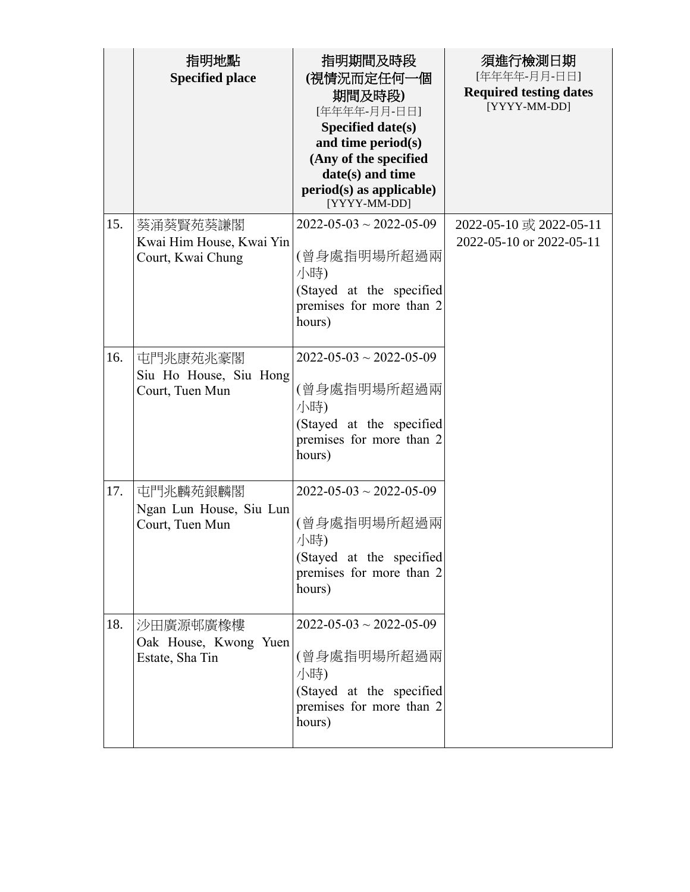|     | 指明地點<br><b>Specified place</b>                            | 指明期間及時段<br>(視情況而定任何一個<br>期間及時段)<br>[年年年年-月月-日日]<br>Specified date(s)<br>and time period(s)<br>(Any of the specified<br>date(s) and time<br>$period(s)$ as applicable)<br>[YYYY-MM-DD] | 須進行檢測日期<br>[年年年年-月月-日日]<br><b>Required testing dates</b><br>[YYYY-MM-DD] |
|-----|-----------------------------------------------------------|---------------------------------------------------------------------------------------------------------------------------------------------------------------------------------------|--------------------------------------------------------------------------|
| 15. | 葵涌葵賢苑葵謙閣<br>Kwai Him House, Kwai Yin<br>Court, Kwai Chung | $2022 - 05 - 03 \sim 2022 - 05 - 09$<br>(曾身處指明場所超過兩<br>小時)<br>(Stayed at the specified<br>premises for more than 2<br>hours)                                                          | 2022-05-10 或 2022-05-11<br>2022-05-10 or 2022-05-11                      |
| 16. | 屯門兆康苑兆豪閣<br>Siu Ho House, Siu Hong<br>Court, Tuen Mun     | $2022 - 05 - 03 \sim 2022 - 05 - 09$<br>(曾身處指明場所超過兩<br>小時)<br>(Stayed at the specified<br>premises for more than 2<br>hours)                                                          |                                                                          |
| 17. | 屯門兆麟苑銀麟閣<br>Ngan Lun House, Siu Lun<br>Court, Tuen Mun    | $2022 - 05 - 03 \sim 2022 - 05 - 09$<br>(曾身處指明場所超過兩<br>小時)<br>(Stayed at the specified<br>premises for more than 2<br>hours)                                                          |                                                                          |
| 18. | 沙田廣源邨廣橡樓<br>Oak House, Kwong Yuen<br>Estate, Sha Tin      | $2022 - 05 - 03 \sim 2022 - 05 - 09$<br>(曾身處指明場所超過兩<br>小時)<br>(Stayed at the specified<br>premises for more than 2<br>hours)                                                          |                                                                          |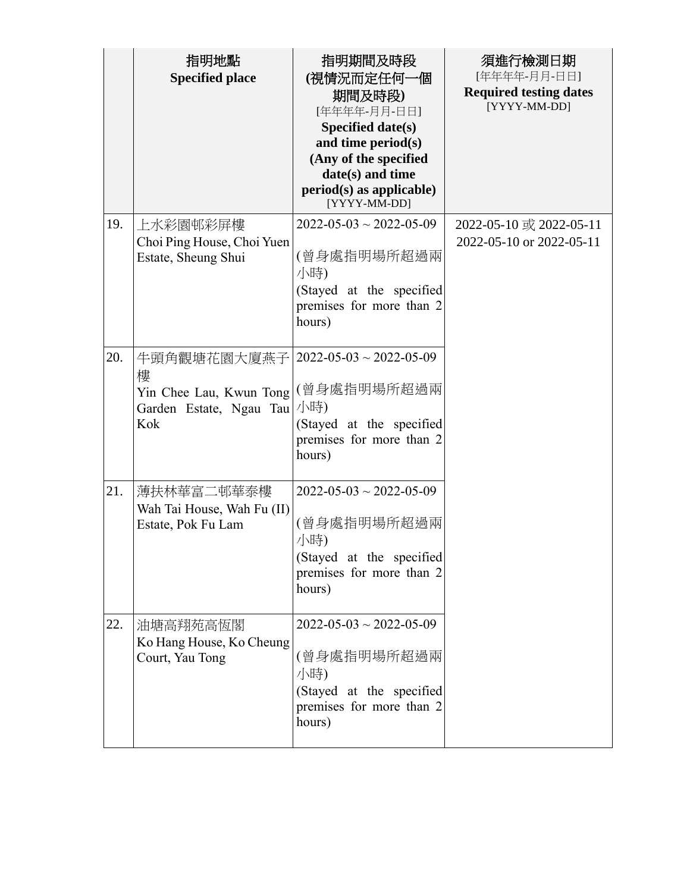|     | 指明地點<br><b>Specified place</b>                                                                                    | 指明期間及時段<br>(視情況而定任何一個<br>期間及時段)<br>[年年年年-月月-日日]<br>Specified date(s)<br>and time period(s)<br>(Any of the specified<br>date(s) and time<br>$period(s)$ as applicable)<br>[YYYY-MM-DD] | 須進行檢測日期<br>[年年年年-月月-日日]<br><b>Required testing dates</b><br>[YYYY-MM-DD] |
|-----|-------------------------------------------------------------------------------------------------------------------|---------------------------------------------------------------------------------------------------------------------------------------------------------------------------------------|--------------------------------------------------------------------------|
| 19. | 上水彩園邨彩屏樓<br>Choi Ping House, Choi Yuen<br>Estate, Sheung Shui                                                     | $2022 - 05 - 03 \sim 2022 - 05 - 09$<br>(曾身處指明場所超過兩<br>小時)<br>(Stayed at the specified<br>premises for more than 2<br>hours)                                                          | 2022-05-10 或 2022-05-11<br>2022-05-10 or 2022-05-11                      |
| 20. | 牛頭角觀塘花園大廈燕子   2022-05-03~2022-05-09<br>樓<br>Yin Chee Lau, Kwun Tong (曾身處指明場所超過兩<br>Garden Estate, Ngau Tau<br>Kok | 小時)<br>(Stayed at the specified<br>premises for more than 2<br>hours)                                                                                                                 |                                                                          |
| 21. | 薄扶林華富二邨華泰樓<br>Wah Tai House, Wah Fu (II)<br>Estate, Pok Fu Lam                                                    | $2022 - 05 - 03 \sim 2022 - 05 - 09$<br>(曾身處指明場所超過兩<br>小時)<br>(Stayed at the specified<br>premises for more than 2<br>hours)                                                          |                                                                          |
| 22. | 油塘高翔苑高恆閣<br>Ko Hang House, Ko Cheung<br>Court, Yau Tong                                                           | $2022 - 05 - 03 \sim 2022 - 05 - 09$<br>(曾身處指明場所超過兩<br>小時)<br>(Stayed at the specified<br>premises for more than 2<br>hours)                                                          |                                                                          |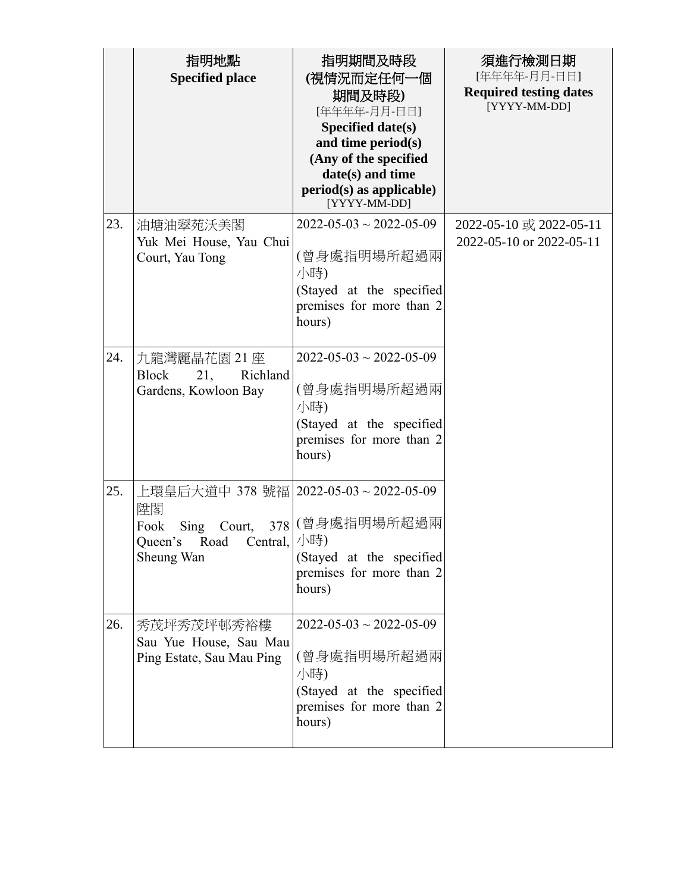|     | 指明地點<br><b>Specified place</b>                                                                                     | 指明期間及時段<br>(視情況而定任何一個<br>期間及時段)<br>[年年年年-月月-日日]<br>Specified date(s)<br>and time period(s)<br>(Any of the specified<br>date(s) and time<br>$period(s)$ as applicable)<br>[YYYY-MM-DD] | 須進行檢測日期<br>[年年年年-月月-日日]<br><b>Required testing dates</b><br>[YYYY-MM-DD] |
|-----|--------------------------------------------------------------------------------------------------------------------|---------------------------------------------------------------------------------------------------------------------------------------------------------------------------------------|--------------------------------------------------------------------------|
| 23. | 油塘油翠苑沃美閣<br>Yuk Mei House, Yau Chui<br>Court, Yau Tong                                                             | $2022 - 05 - 03 \sim 2022 - 05 - 09$<br>(曾身處指明場所超過兩<br>小時)<br>(Stayed at the specified<br>premises for more than 2<br>hours)                                                          | 2022-05-10 或 2022-05-11<br>2022-05-10 or 2022-05-11                      |
| 24. | 九龍灣麗晶花園 21座<br><b>Block</b><br>21,<br>Richland<br>Gardens, Kowloon Bay                                             | $2022 - 05 - 03 \sim 2022 - 05 - 09$<br>(曾身處指明場所超過兩<br>小時)<br>(Stayed at the specified<br>premises for more than 2<br>hours)                                                          |                                                                          |
| 25. | 上環皇后大道中 378 號福   2022-05-03 ~ 2022-05-09<br>陞閣<br>Sing Court,<br>Fook<br>Road<br>Central,<br>Queen's<br>Sheung Wan | 378 (曾身處指明場所超過兩<br>小時)<br>(Stayed at the specified<br>premises for more than 2<br>hours)                                                                                              |                                                                          |
| 26. | 秀茂坪秀茂坪邨秀裕樓<br>Sau Yue House, Sau Mau<br>Ping Estate, Sau Mau Ping                                                  | $2022 - 05 - 03 \sim 2022 - 05 - 09$<br>(曾身處指明場所超過兩<br>小時)<br>(Stayed at the specified<br>premises for more than 2<br>hours)                                                          |                                                                          |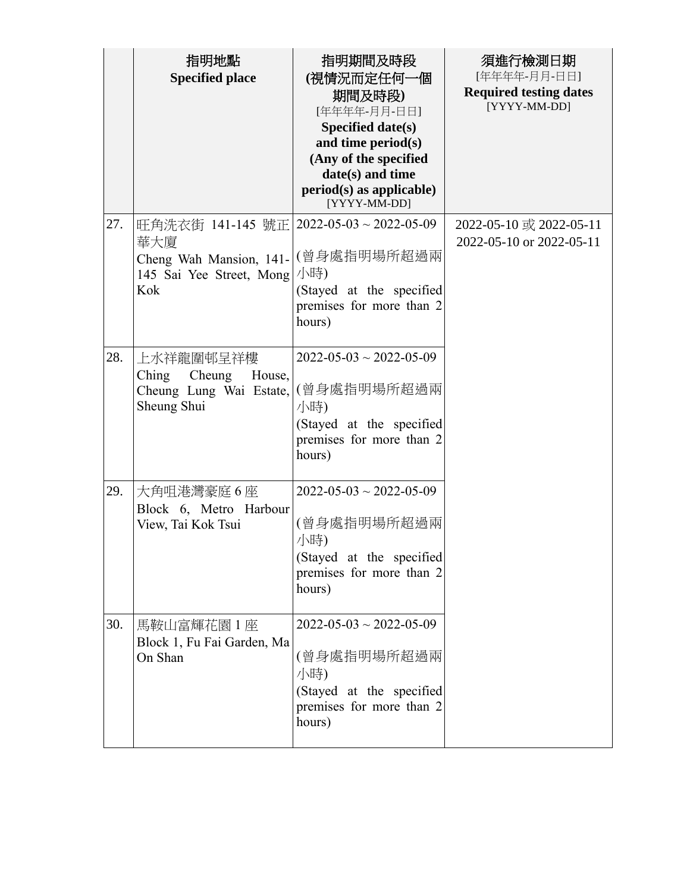|     | 指明地點                                    | 指明期間及時段                                              | 須進行檢測日期                                       |
|-----|-----------------------------------------|------------------------------------------------------|-----------------------------------------------|
|     | <b>Specified place</b>                  | (視情況而定任何一個                                           | [年年年年-月月-日日]                                  |
|     |                                         | 期間及時段)                                               | <b>Required testing dates</b><br>[YYYY-MM-DD] |
|     |                                         | [年年年年-月月-日日]                                         |                                               |
|     |                                         | Specified date(s)<br>and time period(s)              |                                               |
|     |                                         | (Any of the specified                                |                                               |
|     |                                         | date(s) and time                                     |                                               |
|     |                                         | $period(s)$ as applicable)<br>[YYYY-MM-DD]           |                                               |
| 27. | 旺角洗衣街 141-145 號正 2022-05-03~2022-05-09  |                                                      | 2022-05-10 或 2022-05-11                       |
|     | 華大廈                                     |                                                      | 2022-05-10 or 2022-05-11                      |
|     | Cheng Wah Mansion, 141-                 | (曾身處指明場所超過兩                                          |                                               |
|     | 145 Sai Yee Street, Mong                | 小時)                                                  |                                               |
|     | Kok                                     | (Stayed at the specified<br>premises for more than 2 |                                               |
|     |                                         | hours)                                               |                                               |
|     |                                         |                                                      |                                               |
| 28. | 上水祥龍圍邨呈祥樓                               | $2022 - 05 - 03 \sim 2022 - 05 - 09$                 |                                               |
|     | Ching<br>Cheung<br>House,               |                                                      |                                               |
|     | Cheung Lung Wai Estate,                 | (曾身處指明場所超過兩                                          |                                               |
|     | Sheung Shui                             | 小時)                                                  |                                               |
|     |                                         | (Stayed at the specified                             |                                               |
|     |                                         | premises for more than 2<br>hours)                   |                                               |
|     |                                         |                                                      |                                               |
| 29. | 大角咀港灣豪庭6座                               | $2022 - 05 - 03 \sim 2022 - 05 - 09$                 |                                               |
|     | Block 6, Metro Harbour                  |                                                      |                                               |
|     | View, Tai Kok Tsui                      | (曾身處指明場所超過兩                                          |                                               |
|     |                                         | 小時)                                                  |                                               |
|     |                                         | (Stayed at the specified                             |                                               |
|     |                                         | premises for more than 2                             |                                               |
|     |                                         | hours)                                               |                                               |
| 30. |                                         | $2022 - 05 - 03 \sim 2022 - 05 - 09$                 |                                               |
|     | 馬鞍山富輝花園1座<br>Block 1, Fu Fai Garden, Ma |                                                      |                                               |
|     | On Shan                                 | (曾身處指明場所超過兩                                          |                                               |
|     |                                         | 小時)                                                  |                                               |
|     |                                         | (Stayed at the specified                             |                                               |
|     |                                         | premises for more than 2                             |                                               |
|     |                                         | hours)                                               |                                               |
|     |                                         |                                                      |                                               |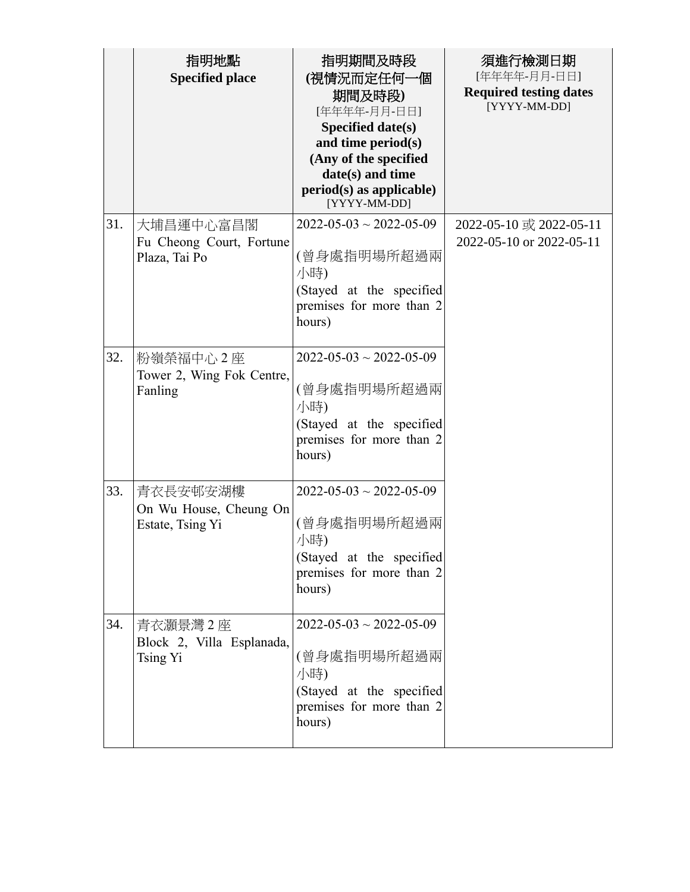|     | 指明地點<br><b>Specified place</b>                         | 指明期間及時段<br>(視情況而定任何一個<br>期間及時段)<br>[年年年年-月月-日日]<br>Specified date(s)<br>and time period(s)<br>(Any of the specified<br>date(s) and time<br>$period(s)$ as applicable)<br>[YYYY-MM-DD] | 須進行檢測日期<br>[年年年年-月月-日日]<br><b>Required testing dates</b><br>[YYYY-MM-DD] |
|-----|--------------------------------------------------------|---------------------------------------------------------------------------------------------------------------------------------------------------------------------------------------|--------------------------------------------------------------------------|
| 31. | 大埔昌運中心富昌閣<br>Fu Cheong Court, Fortune<br>Plaza, Tai Po | $2022 - 05 - 03 \sim 2022 - 05 - 09$<br>(曾身處指明場所超過兩<br>小時)<br>(Stayed at the specified<br>premises for more than 2<br>hours)                                                          | 2022-05-10 或 2022-05-11<br>2022-05-10 or 2022-05-11                      |
| 32. | 粉嶺榮福中心2座<br>Tower 2, Wing Fok Centre,<br>Fanling       | $2022 - 05 - 03 \sim 2022 - 05 - 09$<br>(曾身處指明場所超過兩<br>小時)<br>(Stayed at the specified<br>premises for more than 2<br>hours)                                                          |                                                                          |
| 33. | 青衣長安邨安湖樓<br>On Wu House, Cheung On<br>Estate, Tsing Yi | $2022 - 05 - 03 \sim 2022 - 05 - 09$<br>(曾身處指明場所超過兩<br>小時)<br>(Stayed at the specified<br>premises for more than 2<br>hours)                                                          |                                                                          |
| 34. | 青衣灝景灣2座<br>Block 2, Villa Esplanada,<br>Tsing Yi       | $2022 - 05 - 03 \sim 2022 - 05 - 09$<br>(曾身處指明場所超過兩<br>小時)<br>(Stayed at the specified<br>premises for more than 2<br>hours)                                                          |                                                                          |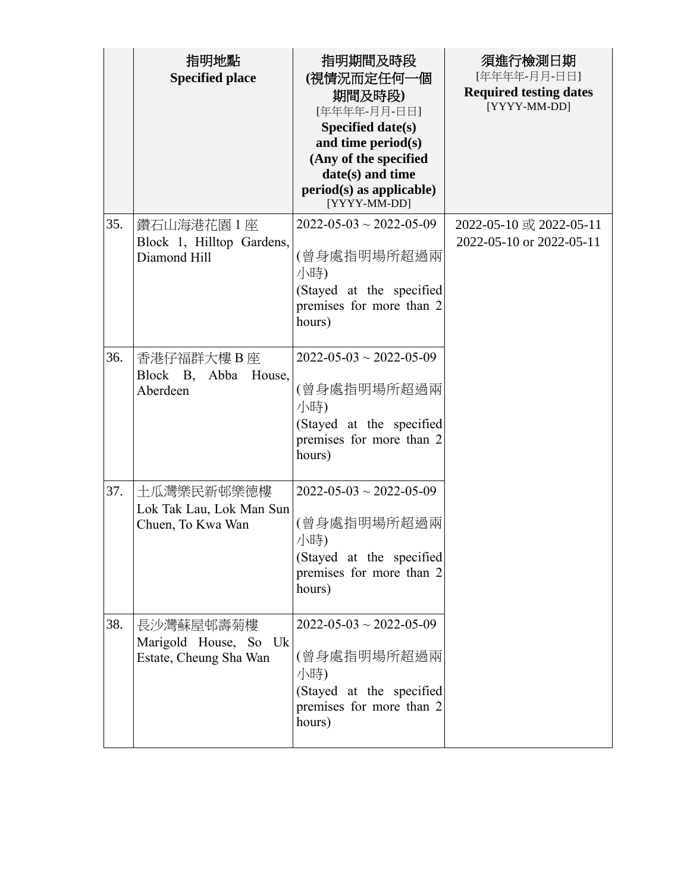|     | 指明地點<br><b>Specified place</b>                               | 指明期間及時段<br>(視情況而定任何一個<br>期間及時段)<br>[年年年年-月月-日日]<br>Specified date(s)<br>and time period(s)<br>(Any of the specified<br>date(s) and time<br>$period(s)$ as applicable)<br>[YYYY-MM-DD] | 須進行檢測日期<br>[年年年年-月月-日日]<br><b>Required testing dates</b><br>[YYYY-MM-DD] |
|-----|--------------------------------------------------------------|---------------------------------------------------------------------------------------------------------------------------------------------------------------------------------------|--------------------------------------------------------------------------|
| 35. | 鑽石山海港花園1座<br>Block 1, Hilltop Gardens,<br>Diamond Hill       | $2022 - 05 - 03 \sim 2022 - 05 - 09$<br>(曾身處指明場所超過兩<br>小時)<br>(Stayed at the specified<br>premises for more than 2<br>hours)                                                          | 2022-05-10 或 2022-05-11<br>2022-05-10 or 2022-05-11                      |
| 36. | 香港仔福群大樓 B 座<br>Block B, Abba<br>House,<br>Aberdeen           | $2022 - 05 - 03 \sim 2022 - 05 - 09$<br>(曾身處指明場所超過兩<br>小時)<br>(Stayed at the specified<br>premises for more than 2<br>hours)                                                          |                                                                          |
| 37. | 土瓜灣樂民新邨樂德樓<br>Lok Tak Lau, Lok Man Sun<br>Chuen, To Kwa Wan  | $2022 - 05 - 03 \sim 2022 - 05 - 09$<br>(曾身處指明場所超過兩<br>小時)<br>(Stayed at the specified<br>premises for more than 2<br>hours)                                                          |                                                                          |
| 38. | 長沙灣蘇屋邨壽菊樓<br>Marigold House, So Uk<br>Estate, Cheung Sha Wan | $2022 - 05 - 03 \sim 2022 - 05 - 09$<br>(曾身處指明場所超過兩<br>小時)<br>(Stayed at the specified<br>premises for more than 2<br>hours)                                                          |                                                                          |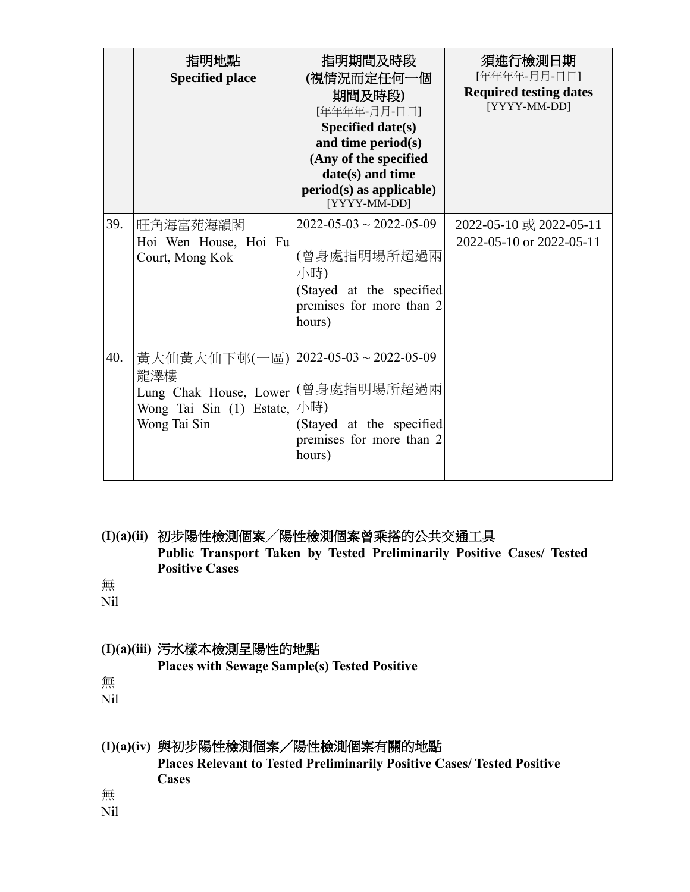|     | 指明地點<br><b>Specified place</b>                                                                        | 指明期間及時段<br>(視情況而定任何一個<br>期間及時段)<br>[年年年年-月月-日日]<br>Specified date(s)<br>and time period(s)<br>(Any of the specified<br>date(s) and time<br>$period(s)$ as applicable)<br>[YYYY-MM-DD] | 須進行檢測日期<br>[年年年年-月月-日日]<br><b>Required testing dates</b><br>[YYYY-MM-DD] |
|-----|-------------------------------------------------------------------------------------------------------|---------------------------------------------------------------------------------------------------------------------------------------------------------------------------------------|--------------------------------------------------------------------------|
| 39. | 旺角海富苑海韻閣<br>Hoi Wen House, Hoi Fu<br>Court, Mong Kok                                                  | $2022 - 05 - 03 \sim 2022 - 05 - 09$<br>(曾身處指明場所超過兩<br>小時)<br>(Stayed at the specified<br>premises for more than 2<br>hours)                                                          | 2022-05-10 或 2022-05-11<br>2022-05-10 or 2022-05-11                      |
| 40. | 黃大仙黃大仙下邨(一區)<br>龍澤樓<br>Lung Chak House, Lower (曾身處指明場所超過兩<br>Wong Tai Sin (1) Estate,<br>Wong Tai Sin | $2022 - 05 - 03 \sim 2022 - 05 - 09$<br>小時)<br>(Stayed at the specified<br>premises for more than 2<br>hours)                                                                         |                                                                          |

**(I)(a)(ii)** 初步陽性檢測個案╱陽性檢測個案曾乘搭的公共交通工具 **Public Transport Taken by Tested Preliminarily Positive Cases/ Tested Positive Cases**

無

Nil

### **(I)(a)(iii)** 污水樣本檢測呈陽性的地點

**Places with Sewage Sample(s) Tested Positive**

無

Nil

## **(I)(a)(iv)** 與初步陽性檢測個案╱陽性檢測個案有關的地點

**Places Relevant to Tested Preliminarily Positive Cases/ Tested Positive Cases** 

無

Nil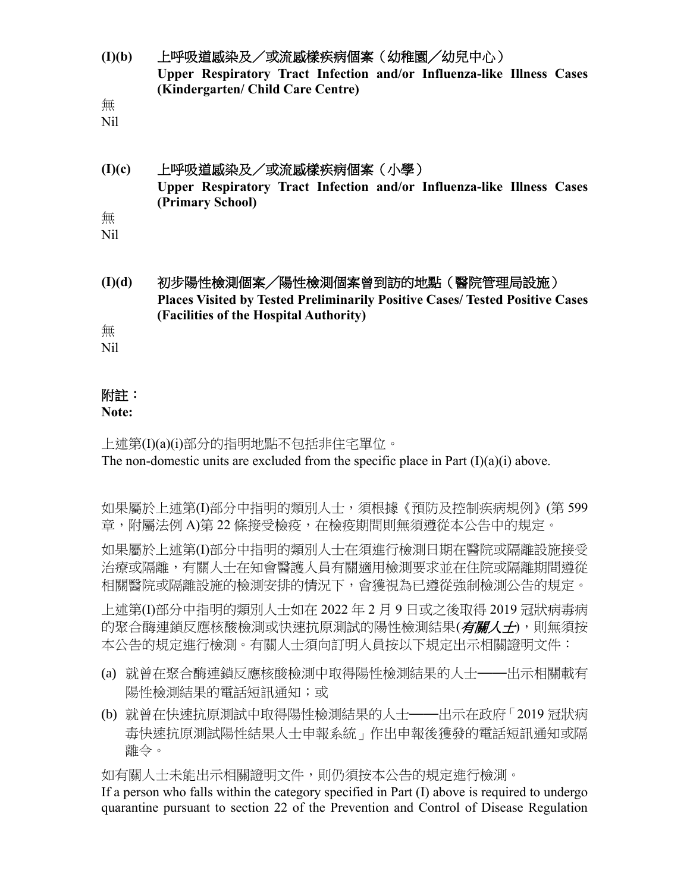**(I)(b)** 上呼吸道感染及/或流感樣疾病個案(幼稚園╱幼兒中心) **Upper Respiratory Tract Infection and/or Influenza-like Illness Cases (Kindergarten/ Child Care Centre)**

無

Nil

### **(I)(c)** 上呼吸道感染及/或流感樣疾病個案(小學) **Upper Respiratory Tract Infection and/or Influenza-like Illness Cases (Primary School)** 無

Nil

**(I)(d)** 初步陽性檢測個案╱陽性檢測個案曾到訪的地點(醫院管理局設施) **Places Visited by Tested Preliminarily Positive Cases/ Tested Positive Cases (Facilities of the Hospital Authority)**

無

Nil

# 附註:

### **Note:**

上述第(I)(a)(i)部分的指明地點不包括非住宅單位。 The non-domestic units are excluded from the specific place in Part  $(I)(a)(i)$  above.

如果屬於上述第(I)部分中指明的類別人士,須根據《預防及控制疾病規例》(第 599 章,附屬法例 A)第 22 條接受檢疫,在檢疫期間則無須遵從本公告中的規定。

如果屬於上述第(I)部分中指明的類別人士在須進行檢測日期在醫院或隔離設施接受 治療或隔離,有關人士在知會醫護人員有關適用檢測要求並在住院或隔離期間遵從 相關醫院或隔離設施的檢測安排的情況下,會獲視為已遵從強制檢測公告的規定。

上述第(I)部分中指明的類別人士如在 2022 年 2 月 9 日或之後取得 2019 冠狀病毒病 的聚合酶連鎖反應核酸檢測或快速抗原測試的陽性檢測結果(*有關人士*),則無須按 本公告的規定進行檢測。有關人士須向訂明人員按以下規定出示相關證明文件:

- (a) 就曾在聚合酶連鎖反應核酸檢測中取得陽性檢測結果的人士——出示相關載有 陽性檢測結果的電話短訊通知;或
- (b) 就曾在快速抗原測試中取得陽性檢測結果的人士——出示在政府「2019 冠狀病 毒快速抗原測試陽性結果人士申報系統」作出申報後獲發的電話短訊通知或隔 離令。

如有關人士未能出示相關證明文件,則仍須按本公告的規定進行檢測。

If a person who falls within the category specified in Part (I) above is required to undergo quarantine pursuant to section 22 of the Prevention and Control of Disease Regulation